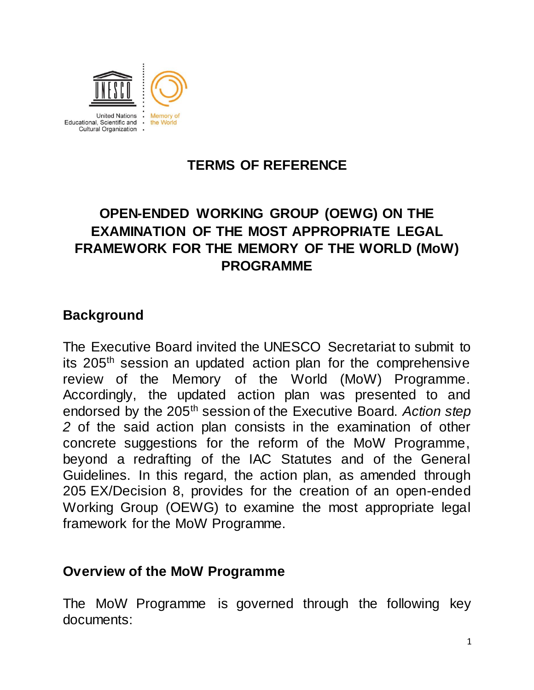

## **TERMS OF REFERENCE**

# **OPEN-ENDED WORKING GROUP (OEWG) ON THE EXAMINATION OF THE MOST APPROPRIATE LEGAL FRAMEWORK FOR THE MEMORY OF THE WORLD (MoW) PROGRAMME**

#### **Background**

The Executive Board invited the UNESCO Secretariat to submit to its 205th session an updated action plan for the comprehensive review of the Memory of the World (MoW) Programme. Accordingly, the updated action plan was presented to and endorsed by the 205th session of the Executive Board. *Action step 2* of the said action plan consists in the examination of other concrete suggestions for the reform of the MoW Programme, beyond a redrafting of the IAC Statutes and of the General Guidelines. In this regard, the action plan, as amended through 205 EX/Decision 8, provides for the creation of an open-ended Working Group (OEWG) to examine the most appropriate legal framework for the MoW Programme.

#### **Overview of the MoW Programme**

The MoW Programme is governed through the following key documents: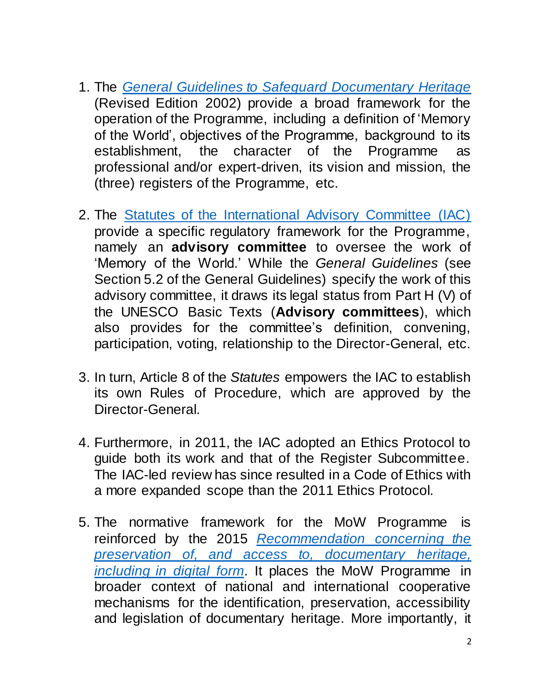- 1. The *[General Guidelines to Safeguard Documentary Heritage](http://unesdoc.unesco.org/images/0012/001256/125637e.pdf)* (Revised Edition 2002) provide a broad framework for the operation of the Programme, including a definition of 'Memory of the World', objectives of the Programme, background to its establishment, the character of the Programme as professional and/or expert-driven, its vision and mission, the (three) registers of the Programme, etc.
- 2. The [Statutes of the International Advisory Committee \(IAC\)](http://www.unesco.org/new/fileadmin/MULTIMEDIA/HQ/CI/CI/pdf/mow/iac_memory_world_programme_statutes_en.pdf) provide a specific regulatory framework for the Programme, namely an **advisory committee** to oversee the work of 'Memory of the World.' While the *General Guidelines* (see Section 5.2 of the General Guidelines) specify the work of this advisory committee, it draws its legal status from Part H (V) of the UNESCO Basic Texts (**Advisory committees**), which also provides for the committee's definition, convening, participation, voting, relationship to the Director-General, etc.
- 3. In turn, Article 8 of the *Statutes* empowers the IAC to establish its own Rules of Procedure, which are approved by the Director-General.
- 4. Furthermore, in 2011, the IAC adopted an Ethics Protocol to guide both its work and that of the Register Subcommittee. The IAC-led review has since resulted in a Code of Ethics with a more expanded scope than the 2011 Ethics Protocol.
- 5. The normative framework for the MoW Programme is reinforced by the 2015 *[Recommendation concerning the](http://unesdoc.unesco.org/images/0024/002446/244675E.pdf)  [preservation of, and access to, documentary heritage,](http://unesdoc.unesco.org/images/0024/002446/244675E.pdf)  [including in digital form](http://unesdoc.unesco.org/images/0024/002446/244675E.pdf)*. It places the MoW Programme in broader context of national and international cooperative mechanisms for the identification, preservation, accessibility and legislation of documentary heritage. More importantly, it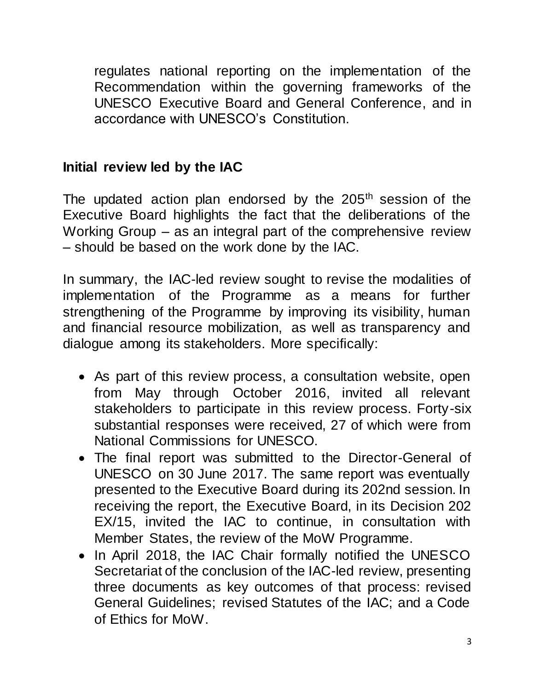regulates national reporting on the implementation of the Recommendation within the governing frameworks of the UNESCO Executive Board and General Conference, and in accordance with UNESCO's Constitution.

## **Initial review led by the IAC**

The updated action plan endorsed by the  $205<sup>th</sup>$  session of the Executive Board highlights the fact that the deliberations of the Working Group – as an integral part of the comprehensive review – should be based on the work done by the IAC.

In summary, the IAC-led review sought to revise the modalities of implementation of the Programme as a means for further strengthening of the Programme by improving its visibility, human and financial resource mobilization, as well as transparency and dialogue among its stakeholders. More specifically:

- As part of this review process, a consultation website, open from May through October 2016, invited all relevant stakeholders to participate in this review process. Forty-six substantial responses were received, 27 of which were from National Commissions for UNESCO.
- The final report was submitted to the Director-General of UNESCO on 30 June 2017. The same report was eventually presented to the Executive Board during its 202nd session. In receiving the report, the Executive Board, in its Decision 202 EX/15, invited the IAC to continue, in consultation with Member States, the review of the MoW Programme.
- In April 2018, the IAC Chair formally notified the UNESCO Secretariat of the conclusion of the IAC-led review, presenting three documents as key outcomes of that process: revised General Guidelines; revised Statutes of the IAC; and a Code of Ethics for MoW.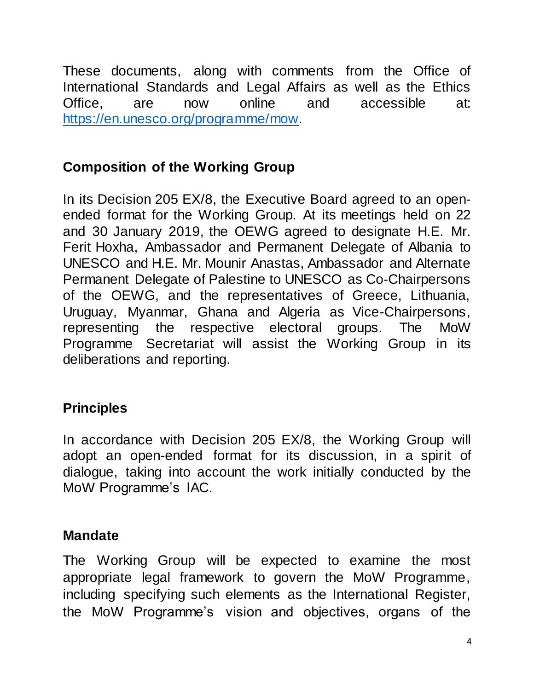These documents, along with comments from the Office of International Standards and Legal Affairs as well as the Ethics Office, are now online and accessible at: [https://en.unesco.org/programme/mow.](https://en.unesco.org/programme/mow)

## **Composition of the Working Group**

In its Decision 205 EX/8, the Executive Board agreed to an openended format for the Working Group. At its meetings held on 22 and 30 January 2019, the OEWG agreed to designate H.E. Mr. Ferit Hoxha, Ambassador and Permanent Delegate of Albania to UNESCO and H.E. Mr. Mounir Anastas, Ambassador and Alternate Permanent Delegate of Palestine to UNESCO as Co-Chairpersons of the OEWG, and the representatives of Greece, Lithuania, Uruguay, Myanmar, Ghana and Algeria as Vice-Chairpersons, representing the respective electoral groups. The MoW Programme Secretariat will assist the Working Group in its deliberations and reporting.

## **Principles**

In accordance with Decision 205 EX/8, the Working Group will adopt an open-ended format for its discussion, in a spirit of dialogue, taking into account the work initially conducted by the MoW Programme's IAC.

#### **Mandate**

The Working Group will be expected to examine the most appropriate legal framework to govern the MoW Programme, including specifying such elements as the International Register, the MoW Programme's vision and objectives, organs of the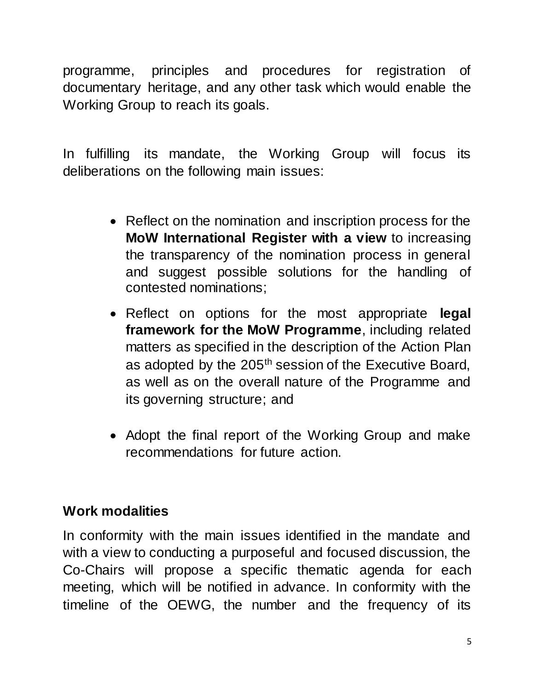programme, principles and procedures for registration of documentary heritage, and any other task which would enable the Working Group to reach its goals.

In fulfilling its mandate, the Working Group will focus its deliberations on the following main issues:

- Reflect on the nomination and inscription process for the **MoW International Register with a view** to increasing the transparency of the nomination process in general and suggest possible solutions for the handling of contested nominations;
- Reflect on options for the most appropriate **legal framework for the MoW Programme**, including related matters as specified in the description of the Action Plan as adopted by the 205<sup>th</sup> session of the Executive Board, as well as on the overall nature of the Programme and its governing structure; and
- Adopt the final report of the Working Group and make recommendations for future action.

## **Work modalities**

In conformity with the main issues identified in the mandate and with a view to conducting a purposeful and focused discussion, the Co-Chairs will propose a specific thematic agenda for each meeting, which will be notified in advance. In conformity with the timeline of the OEWG, the number and the frequency of its